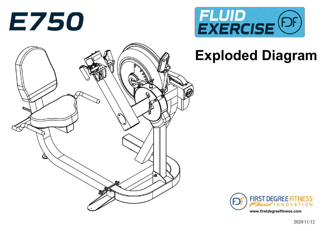



# **Exploded Diagram**



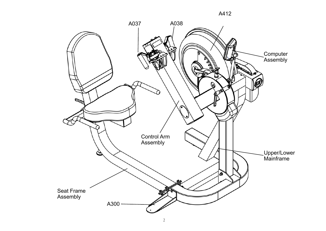

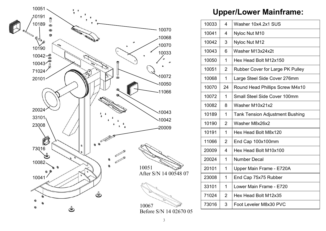

# **Upper/Lower Mainframe:**

| 10033 | 4              | Washer 10x4.2x1 SUS                     |  |
|-------|----------------|-----------------------------------------|--|
| 10041 | 4              | Nyloc Nut M10                           |  |
| 10042 | 3              | Nyloc Nut M12                           |  |
| 10043 | 6              | Washer M13x24x2t                        |  |
| 10050 | 1              | Hex Head Bolt M12x150                   |  |
| 10051 | $\overline{2}$ | <b>Rubber Cover for Large PK Pulley</b> |  |
| 10068 | 1              | Large Steel Side Cover 276mm            |  |
| 10070 | 24             | Round Head Phillips Screw M4x10         |  |
| 10072 | 1              | <b>Small Steel Side Cover 100mm</b>     |  |
| 10082 | 8              | Washer M10x21x2                         |  |
| 10189 | 1              | <b>Tank Tension Adjustment Bushing</b>  |  |
| 10190 | $\overline{2}$ | Washer M8x26x2                          |  |
| 10191 | 1              | Hex Head Bolt M8x120                    |  |
| 11066 | $\overline{2}$ | End Cap 100x100mm                       |  |
| 20009 | 4              | Hex Head Bolt M10x100                   |  |
| 20024 | 1              | <b>Number Decal</b>                     |  |
| 20101 | 1              | Upper Main Frame - E720A                |  |
| 23008 | 1              | End Cap 75x75 Rubber                    |  |
| 33101 | 1              | Lower Main Frame - E720                 |  |
| 71024 | $\overline{2}$ | Hex Head Bolt M12x35                    |  |
| 73016 | 3              | Foot Leveler M8x30 PVC                  |  |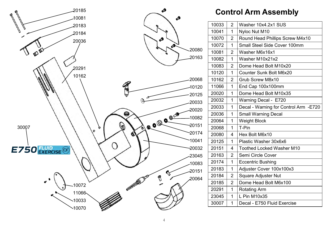

# **Control Arm Assembly**

| 10033 | $\overline{2}$ | Washer 10x4.2x1 SUS                   |
|-------|----------------|---------------------------------------|
| 10041 | 1              | Nyloc Nut M10                         |
| 10070 | $\overline{2}$ | Round Head Phillips Screw M4x10       |
| 10072 | 1              | Small Steel Side Cover 100mm          |
| 10081 | $\overline{2}$ | Washer M6x16x1                        |
| 10082 | $\overline{1}$ | Washer M10x21x2                       |
| 10083 | $\overline{2}$ | Dome Head Bolt M10x20                 |
| 10120 | $\overline{1}$ | <b>Counter Sunk Bolt M6x20</b>        |
| 10162 | $\overline{2}$ | Grub Screw M8x10                      |
| 11066 | $\overline{1}$ | End Cap 100x100mm                     |
| 20020 | 1              | Dome Head Bolt M10x35                 |
| 20032 | 1              | Warning Decal - E720                  |
| 20033 | 1              | Decal - Warning for Control Arm -E720 |
| 20036 | 1              | <b>Small Warning Decal</b>            |
| 20064 | 1              | <b>Weight Block</b>                   |
| 20068 | $\overline{1}$ | T-Pin                                 |
| 20080 | 4              | Hex Bolt M6x10                        |
| 20125 | 1              | Plastic Washer 30x6x6                 |
| 20151 | 4              | <b>Toothed Locked Washer M10</b>      |
| 20163 | $\overline{2}$ | Semi Circle Cover                     |
| 20174 | 1              | <b>Eccentric Bushing</b>              |
| 20183 | 1              | Adjuster Cover 100x100x3              |
| 20184 | $\overline{2}$ | <b>Square Adjuster Nut</b>            |
| 20185 | $\overline{2}$ | Dome Head Bolt M6x100                 |
| 20291 | 1              | <b>Rotating Arm</b>                   |
| 23045 | 1              | L Pin M10x35                          |
| 30007 | $\overline{1}$ | Decal - E750 Fluid Exercise           |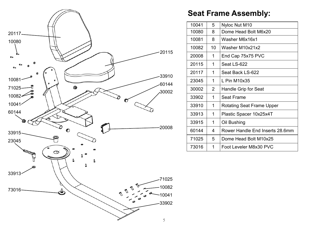

# **Seat Frame Assembly:**

| 10041 | 5              | Nyloc Nut M10                   |
|-------|----------------|---------------------------------|
| 10080 | 8              | Dome Head Bolt M6x20            |
| 10081 | 8              | Washer M6x16x1                  |
| 10082 | 10             | Washer M10x21x2                 |
| 20008 | 1              | End Cap 75x75 PVC               |
| 20115 | 1              | Seat LS-622                     |
| 20117 | 1              | Seat Back LS-622                |
| 23045 | 1              | $L$ Pin M10x35                  |
| 30002 | $\overline{2}$ | Handle Grip for Seat            |
| 33902 | 1              | <b>Seat Frame</b>               |
| 33910 | 1              | Rotating Seat Frame Upper       |
| 33913 | 1              | Plastic Spacer 10x25x4T         |
| 33915 | 1              | Oil Bushing                     |
| 60144 | 4              | Rower Handle End Inserts 28.6mm |
| 71025 | 5              | Dome Head Bolt M10x25           |
| 73016 | 1              | Foot Leveler M8x30 PVC          |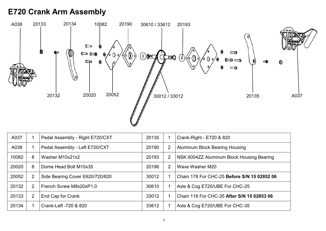# **E720 Crank Arm Assembly**



| A037  |                | Pedal Assembly - Right E720/CXT | 20135 | -1             | Crank-Right - E720 & 820                    |
|-------|----------------|---------------------------------|-------|----------------|---------------------------------------------|
| A038  |                | Pedal Assembly - Left E720/CXT  | 20190 | $\overline{2}$ | <b>Aluminum Block Bearing Housing</b>       |
| 10082 | 8              | Washer M10x21x2                 | 20193 | $\overline{2}$ | NSK 6004ZZ Aluminum Block Housing Bearing   |
| 20020 | 8              | Dome Head Bolt M10x35           | 20196 | $\overline{2}$ | Wave Washer M20                             |
| 20052 | $\overline{2}$ | Side Bearing Cover E620/720/820 | 30012 |                | Chain 178 For CHC-25 Before S/N 15 02852 06 |
| 20132 | $\overline{2}$ | French Screw M8x20xP1.0         | 30610 |                | Axle & Cog E720/UBE For CHC-25              |
| 20133 | $\overline{2}$ | End Cap for Crank               | 33012 |                | Chain 118 For CHC-35 After S/N 15 02853 06  |
| 20134 |                | Crank-Left -720 & 820           | 33612 | -1             | Axle & Cog E720/UBE For CHC-35              |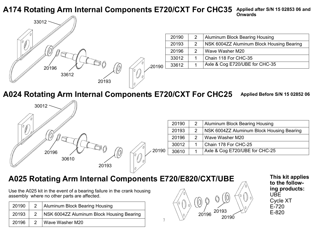#### **A174 Rotating Arm Internal Components E720/CXT For CHC35 Applied after S/N 15 02853 06 and Onwards**

7



| 20190                  | $\mathcal{P}$                      | Aluminum Block Bearing Housing            |  |
|------------------------|------------------------------------|-------------------------------------------|--|
| 20193<br>$\mathcal{P}$ |                                    | NSK 6004ZZ Aluminum Block Housing Bearing |  |
| 20196                  | l Wave Washer M20<br>$\mathcal{P}$ |                                           |  |
| 33012                  | Chain 118 For CHC-35               |                                           |  |
| 33612                  |                                    | Axle & Cog E720/UBE for CHC-35            |  |

**A024 Rotating Arm Internal Components E720/CXT For CHC25**

**Applied Before S/N 15 02852 06** 



| 20190 | Aluminum Block Bearing Housing            |  |
|-------|-------------------------------------------|--|
| 20193 | NSK 6004ZZ Aluminum Block Housing Bearing |  |
| 20196 | Wave Washer M20                           |  |
| 30012 | Chain 178 For CHC-25                      |  |
| 30610 | Axle & Cog E720/UBE for CHC-25            |  |

# **A025 Rotating Arm Internal Components E720/E820/CXT/UBE This kit applies**

Use the A025 kit in the event of a bearing failure in the crank housing assembly where no other parts are affected.

| 20190 | $\overline{2}$ | Aluminum Block Bearing Housing            |
|-------|----------------|-------------------------------------------|
| 20193 | $\overline{2}$ | NSK 6004ZZ Aluminum Block Housing Bearing |
| 20196 |                | 2   Wave Washer M20                       |



**to the following products:** UBE Cycle XT E-720 E-820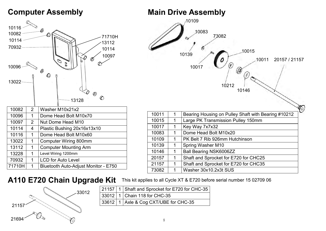## **Computer Assembly**





#### **A110 E720 Chain Upgrade Kit**

71710H 1 | Bluetooth Auto-Adjust Monitor - E750

33012 21694 21157

70932 | 1 | LCD for Auto Level

|  | 21157   1   Shaft and Sprocket for E720 for CHC-35 |
|--|----------------------------------------------------|
|  | 33012   1   Chain 118 for CHC-35                   |
|  | 33612   1   Axle & Cog CXT/UBE for CHC-35          |

This kit applies to all Cycle XT & E720 before serial number 15 02709 06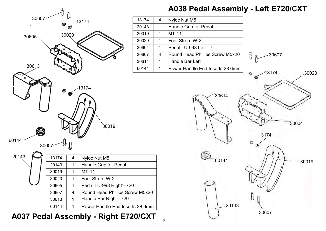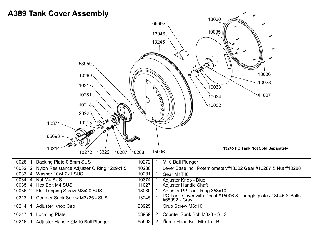#### **A389 Tank Cover Assembly**



| 10028       | Backing Plate 0.8mm SUS                   | 10272  |               | M10 Ball Plunger                                                                 |
|-------------|-------------------------------------------|--------|---------------|----------------------------------------------------------------------------------|
| $10032$   2 | Nylon Resistance Adjuster O Ring 12x9x1.5 | 10280  |               | Lever Base incl. Potentiometer,#13322 Gear #10287 & Nut #10288                   |
| $10033$   4 | Washer 10x4.2x1 SUS                       | 10281  |               | Gear M1T48                                                                       |
| $10034$   4 | Nut M4 SUS                                | 10374  |               | Adjuster Knob - Blue                                                             |
|             | 10035   4   Hex Bolt M4 SUS               | 11027  |               | <b>Adjuster Handle Shaft</b>                                                     |
|             | 10036 12 Flat Tapping Screw M3x20 SUS     | 13030丨 |               | Adjuster PP Tank Ring 358x10                                                     |
| $10213$ 1   | Counter Sunk Screw M3x25 - SUS            | 13245  |               | PC Tank Cover with Decal #15006 & Triangle plate #13046 & Bolts<br>#65992 - Gray |
| 10214       | Adjuster Knob Cap                         | 23925  |               | Grub Screw M6x10                                                                 |
| 10217       | <b>Locating Plate</b>                     | 53959  | $\mathcal{P}$ | Counter Sunk Bolt M3x8 - SUS                                                     |
| 10218       | Adjuster Handle & M10 Ball Plunger        | 65693  |               | Dome Head Bolt M5x15 - B                                                         |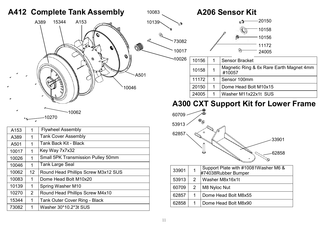# **A412 Complete Tank Assembly**



| A153  | 1              | <b>Flywheel Assembly</b>                  |
|-------|----------------|-------------------------------------------|
| A389  | 1              | <b>Tank Cover Assembly</b>                |
| A501  | 1              | Tank Back Kit - Black                     |
| 10017 | 1              | Key Way 7x7x32                            |
| 10026 | 1              | <b>Small 5PK Transmission Pulley 50mm</b> |
| 10046 | 1              | <b>Tank Large Seal</b>                    |
| 10062 | 12             | Round Head Phillips Screw M3x12 SUS       |
| 10083 | 1              | Dome Head Bolt M10x20                     |
| 10139 | 1              | Spring Washer M10                         |
| 10270 | $\overline{2}$ | Round Head Phillips Screw M4x10           |
| 15344 | 1              | <b>Tank Outer Cover Ring - Black</b>      |
| 73082 | 1              | Washer 30*10.2*3t SUS                     |
|       |                |                                           |

#### <sup>10083</sup> **A206 Sensor Kit**  20150 A 10158 10156 73082 11172 10017 24005 10026 10156 | 1 Sensor Bracket 10158 1 Magnetic Ring & 6x Rare Earth Magnet 4mm #10057 11172 1 Sensor 100mm 20150 | 1 | Dome Head Bolt M10x15 24005 | 1 | Washer M11x22x1t SUS

## **A300 CXT Support Kit for Lower Frame**



| 53913<br>2<br>Washer M8x16x1t<br>60709<br>M8 Nyloc Nut<br>$\mathcal{P}$<br>Dome Head Bolt M8x55<br>62857<br>1<br>Dome Head Bolt M8x90<br>62858<br>1 | 33901 | 1 | Support Plate with #10081Washer M6 &<br>#74038Rubber Bumper |
|-----------------------------------------------------------------------------------------------------------------------------------------------------|-------|---|-------------------------------------------------------------|
|                                                                                                                                                     |       |   |                                                             |
|                                                                                                                                                     |       |   |                                                             |
|                                                                                                                                                     |       |   |                                                             |
|                                                                                                                                                     |       |   |                                                             |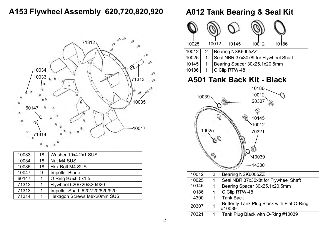## **A153 Flywheel Assembly 620,720,820,920**



| 10033 | 18 | Washer 10x4.2x1 SUS            |  |
|-------|----|--------------------------------|--|
| 10034 | 18 | Nut M4 SUS                     |  |
| 10035 | 18 | Hex Bolt M4 SUS                |  |
| 10047 | 9  | <b>Impeller Blade</b>          |  |
| 60147 | 1  | O Ring 9.5x6.5x1.5             |  |
| 71312 |    | Flywheel 620/720/820/920       |  |
| 71313 |    | Impeller Shaft 620/720/820/920 |  |
| 71314 |    | Hexagon Screws M8x20mm SUS     |  |

## **A012 Tank Bearing & Seal Kit**

| 10025 |                | 10012                                | 10145             | 10012 | 10186 |  |
|-------|----------------|--------------------------------------|-------------------|-------|-------|--|
| 10012 | $\overline{2}$ |                                      | Bearing NSK6005ZZ |       |       |  |
| 10025 | 1              | Seal NBR 37x30x8t for Flywheel Shaft |                   |       |       |  |
| 10145 | 1              | Bearing Spacer 30x25.1x20.5mm        |                   |       |       |  |
| 10186 |                |                                      | C Clip RTW-48     |       |       |  |

# **A501 Tank Back Kit - Black**